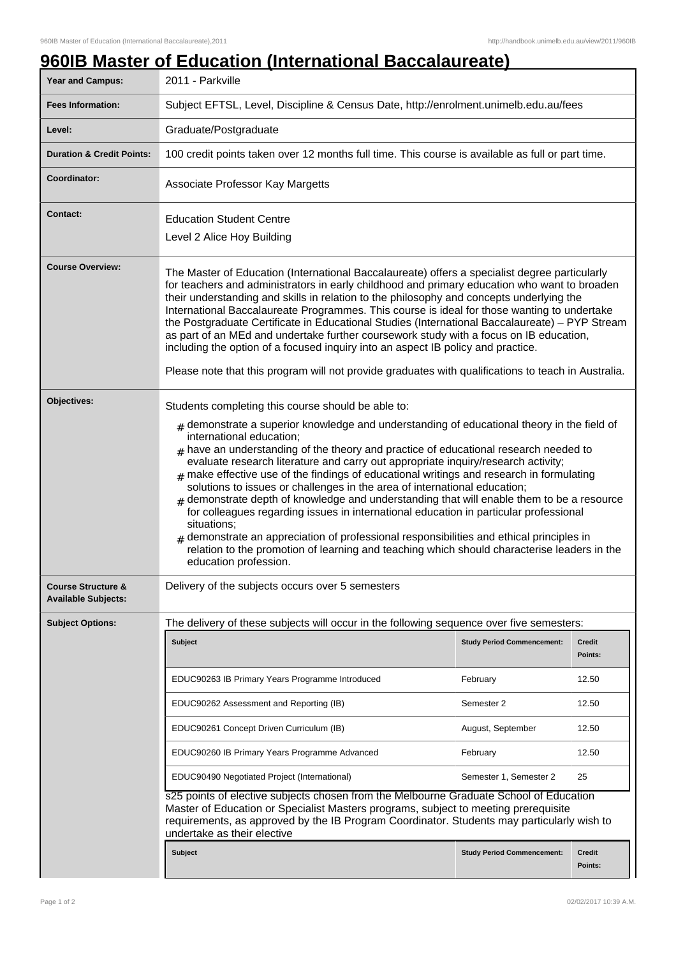| Year and Campus:                                            | 2011 - Parkville                                                                                                                                                                                                                                                                                                                                                                                                                                                                                                                                                                                                                                                                                                                                                                                                                                                                                                                                              |                                   |                          |  |
|-------------------------------------------------------------|---------------------------------------------------------------------------------------------------------------------------------------------------------------------------------------------------------------------------------------------------------------------------------------------------------------------------------------------------------------------------------------------------------------------------------------------------------------------------------------------------------------------------------------------------------------------------------------------------------------------------------------------------------------------------------------------------------------------------------------------------------------------------------------------------------------------------------------------------------------------------------------------------------------------------------------------------------------|-----------------------------------|--------------------------|--|
| <b>Fees Information:</b>                                    | Subject EFTSL, Level, Discipline & Census Date, http://enrolment.unimelb.edu.au/fees                                                                                                                                                                                                                                                                                                                                                                                                                                                                                                                                                                                                                                                                                                                                                                                                                                                                          |                                   |                          |  |
| Level:                                                      | Graduate/Postgraduate                                                                                                                                                                                                                                                                                                                                                                                                                                                                                                                                                                                                                                                                                                                                                                                                                                                                                                                                         |                                   |                          |  |
| <b>Duration &amp; Credit Points:</b>                        | 100 credit points taken over 12 months full time. This course is available as full or part time.                                                                                                                                                                                                                                                                                                                                                                                                                                                                                                                                                                                                                                                                                                                                                                                                                                                              |                                   |                          |  |
| Coordinator:                                                | Associate Professor Kay Margetts                                                                                                                                                                                                                                                                                                                                                                                                                                                                                                                                                                                                                                                                                                                                                                                                                                                                                                                              |                                   |                          |  |
| <b>Contact:</b>                                             | <b>Education Student Centre</b><br>Level 2 Alice Hoy Building                                                                                                                                                                                                                                                                                                                                                                                                                                                                                                                                                                                                                                                                                                                                                                                                                                                                                                 |                                   |                          |  |
| <b>Course Overview:</b>                                     | The Master of Education (International Baccalaureate) offers a specialist degree particularly<br>for teachers and administrators in early childhood and primary education who want to broaden<br>their understanding and skills in relation to the philosophy and concepts underlying the<br>International Baccalaureate Programmes. This course is ideal for those wanting to undertake<br>the Postgraduate Certificate in Educational Studies (International Baccalaureate) - PYP Stream<br>as part of an MEd and undertake further coursework study with a focus on IB education,<br>including the option of a focused inquiry into an aspect IB policy and practice.<br>Please note that this program will not provide graduates with qualifications to teach in Australia.                                                                                                                                                                               |                                   |                          |  |
| Objectives:                                                 |                                                                                                                                                                                                                                                                                                                                                                                                                                                                                                                                                                                                                                                                                                                                                                                                                                                                                                                                                               |                                   |                          |  |
|                                                             | Students completing this course should be able to:<br>$#$ demonstrate a superior knowledge and understanding of educational theory in the field of<br>international education;<br>$#$ have an understanding of the theory and practice of educational research needed to<br>evaluate research literature and carry out appropriate inquiry/research activity;<br>$#$ make effective use of the findings of educational writings and research in formulating<br>solutions to issues or challenges in the area of international education;<br>demonstrate depth of knowledge and understanding that will enable them to be a resource<br>for colleagues regarding issues in international education in particular professional<br>situations;<br>demonstrate an appreciation of professional responsibilities and ethical principles in<br>relation to the promotion of learning and teaching which should characterise leaders in the<br>education profession. |                                   |                          |  |
| <b>Course Structure &amp;</b><br><b>Available Subjects:</b> | Delivery of the subjects occurs over 5 semesters                                                                                                                                                                                                                                                                                                                                                                                                                                                                                                                                                                                                                                                                                                                                                                                                                                                                                                              |                                   |                          |  |
| <b>Subject Options:</b>                                     | The delivery of these subjects will occur in the following sequence over five semesters:                                                                                                                                                                                                                                                                                                                                                                                                                                                                                                                                                                                                                                                                                                                                                                                                                                                                      |                                   |                          |  |
|                                                             | <b>Subject</b>                                                                                                                                                                                                                                                                                                                                                                                                                                                                                                                                                                                                                                                                                                                                                                                                                                                                                                                                                | <b>Study Period Commencement:</b> | Credit<br>Points:        |  |
|                                                             | EDUC90263 IB Primary Years Programme Introduced                                                                                                                                                                                                                                                                                                                                                                                                                                                                                                                                                                                                                                                                                                                                                                                                                                                                                                               | February                          | 12.50                    |  |
|                                                             | EDUC90262 Assessment and Reporting (IB)                                                                                                                                                                                                                                                                                                                                                                                                                                                                                                                                                                                                                                                                                                                                                                                                                                                                                                                       | Semester 2                        | 12.50                    |  |
|                                                             | EDUC90261 Concept Driven Curriculum (IB)                                                                                                                                                                                                                                                                                                                                                                                                                                                                                                                                                                                                                                                                                                                                                                                                                                                                                                                      | August, September                 | 12.50                    |  |
|                                                             | EDUC90260 IB Primary Years Programme Advanced                                                                                                                                                                                                                                                                                                                                                                                                                                                                                                                                                                                                                                                                                                                                                                                                                                                                                                                 | February                          | 12.50                    |  |
|                                                             | EDUC90490 Negotiated Project (International)                                                                                                                                                                                                                                                                                                                                                                                                                                                                                                                                                                                                                                                                                                                                                                                                                                                                                                                  | Semester 1, Semester 2            | 25                       |  |
|                                                             | s25 points of elective subjects chosen from the Melbourne Graduate School of Education<br>Master of Education or Specialist Masters programs, subject to meeting prerequisite<br>requirements, as approved by the IB Program Coordinator. Students may particularly wish to<br>undertake as their elective                                                                                                                                                                                                                                                                                                                                                                                                                                                                                                                                                                                                                                                    |                                   |                          |  |
|                                                             | <b>Subject</b>                                                                                                                                                                                                                                                                                                                                                                                                                                                                                                                                                                                                                                                                                                                                                                                                                                                                                                                                                | <b>Study Period Commencement:</b> | <b>Credit</b><br>Points: |  |